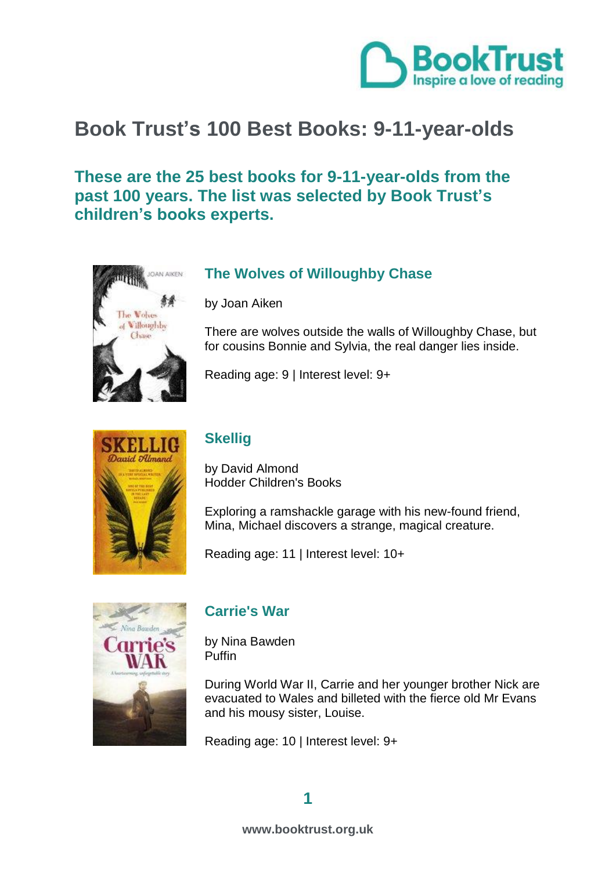

# **Book Trust's 100 Best Books: 9-11-year-olds**

**These are the 25 best books for 9-11-year-olds from the past 100 years. The list was selected by Book Trust's children's books experts.** 



# **[The Wolves of Willoughby Chase](http://www.booktrust.org.uk/books/view/33308)**

by Joan Aiken

There are wolves outside the walls of Willoughby Chase, but for cousins Bonnie and Sylvia, the real danger lies inside.

Reading age: 9 | Interest level: 9+



# **[Skellig](http://www.booktrust.org.uk/books/view/27570)**

by David Almond Hodder Children's Books

Exploring a ramshackle garage with his new-found friend, Mina, Michael discovers a strange, magical creature.

Reading age: 11 | Interest level: 10+



# **[Carrie's War](http://www.booktrust.org.uk/books/view/30174)**

by Nina Bawden Puffin

During World War II, Carrie and her younger brother Nick are evacuated to Wales and billeted with the fierce old Mr Evans and his mousy sister, Louise.

Reading age: 10 | Interest level: 9+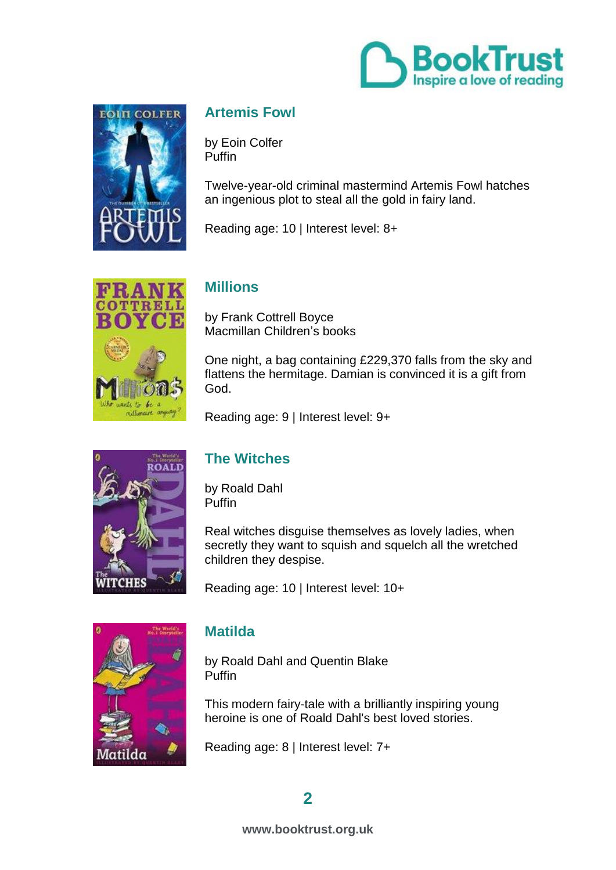



# **[Artemis Fowl](http://www.booktrust.org.uk/books/view/28627)**

by Eoin Colfer **Puffin** 

Twelve-year-old criminal mastermind Artemis Fowl hatches an ingenious plot to steal all the gold in fairy land.

Reading age: 10 | Interest level: 8+



# **[Millions](http://www.booktrust.org.uk/books/view/24993)**

by Frank Cottrell Boyce Macmillan Children's books

One night, a bag containing £229,370 falls from the sky and flattens the hermitage. Damian is convinced it is a gift from God.

Reading age: 9 | Interest level: 9+



# **[The Witches](http://www.booktrust.org.uk/books/view/33343)**

by Roald Dahl Puffin

Real witches disguise themselves as lovely ladies, when secretly they want to squish and squelch all the wretched children they despise.

Reading age: 10 | Interest level: 10+



### **[Matilda](http://www.booktrust.org.uk/books/view/25342)**

by Roald Dahl and Quentin Blake Puffin

This modern fairy-tale with a brilliantly inspiring young heroine is one of Roald Dahl's best loved stories.

Reading age: 8 | Interest level: 7+

# **2**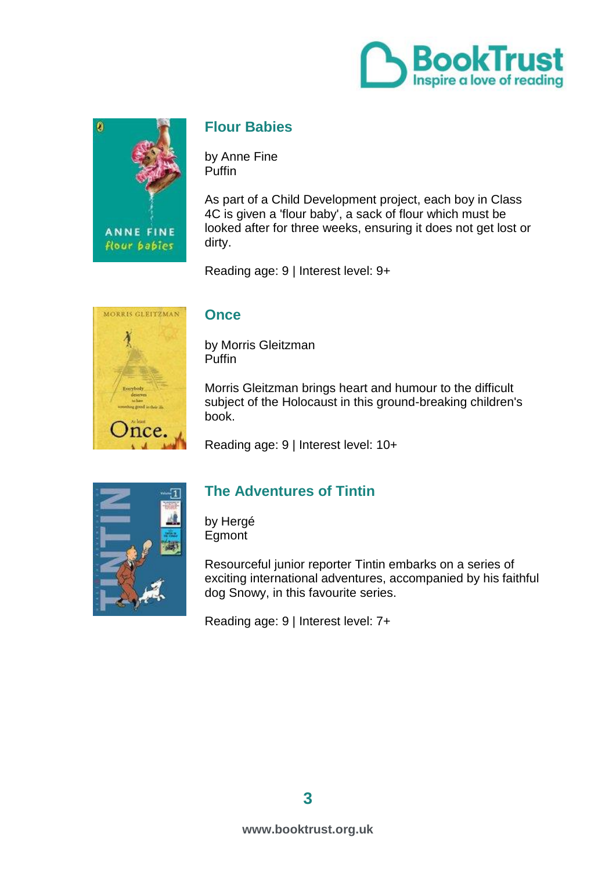



### **[Flour Babies](http://www.booktrust.org.uk/books/view/24398)**

by Anne Fine Puffin

As part of a Child Development project, each boy in Class 4C is given a 'flour baby', a sack of flour which must be looked after for three weeks, ensuring it does not get lost or dirty.

Reading age: 9 | Interest level: 9+



#### **[Once](http://www.booktrust.org.uk/books/view/25454)**

by Morris Gleitzman Puffin

Morris Gleitzman brings heart and humour to the difficult subject of the Holocaust in this ground-breaking children's book.

Reading age: 9 | Interest level: 10+



### **[The Adventures of Tintin](http://www.booktrust.org.uk/books/view/33297)**

by Hergé Egmont

Resourceful junior reporter Tintin embarks on a series of exciting international adventures, accompanied by his faithful dog Snowy, in this favourite series.

Reading age: 9 | Interest level: 7+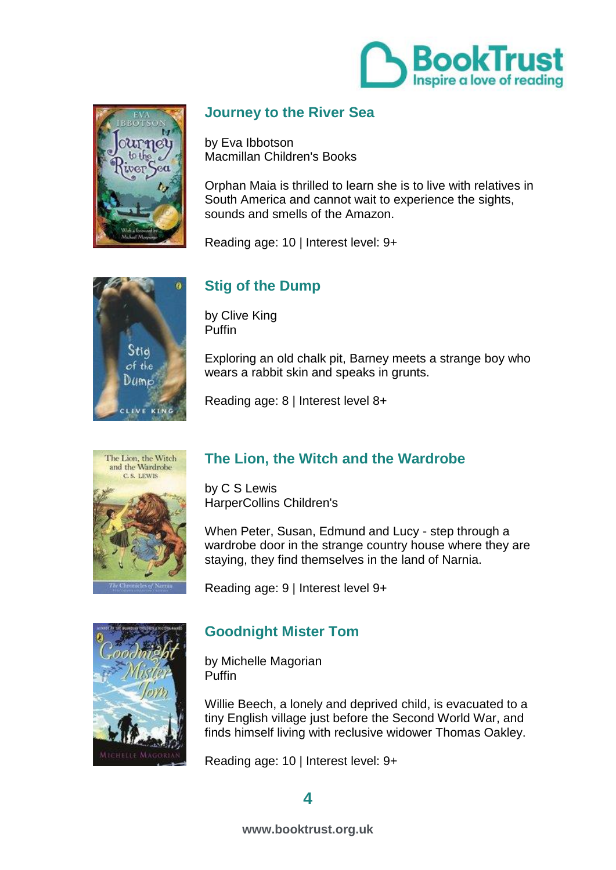



# **[Journey to the River Sea](http://www.booktrust.org.uk/books/view/24769)**

by Eva Ibbotson Macmillan Children's Books

Orphan Maia is thrilled to learn she is to live with relatives in South America and cannot wait to experience the sights, sounds and smells of the Amazon.

Reading age: 10 | Interest level: 9+



# **[Stig of the Dump](http://www.booktrust.org.uk/books/view/33315)**

by Clive King Puffin

Exploring an old chalk pit, Barney meets a strange boy who wears a rabbit skin and speaks in grunts.

Reading age: 8 | Interest level 8+



# **[The Lion, the Witch and the Wardrobe](http://www.booktrust.org.uk/books/view/33305)**

by C S Lewis HarperCollins Children's

When Peter, Susan, Edmund and Lucy - step through a wardrobe door in the strange country house where they are staying, they find themselves in the land of Narnia.

Reading age: 9 | Interest level 9+



### **[Goodnight Mister Tom](http://www.booktrust.org.uk/books/view/30275)**

by Michelle Magorian Puffin

Willie Beech, a lonely and deprived child, is evacuated to a tiny English village just before the Second World War, and finds himself living with reclusive widower Thomas Oakley.

Reading age: 10 | Interest level: 9+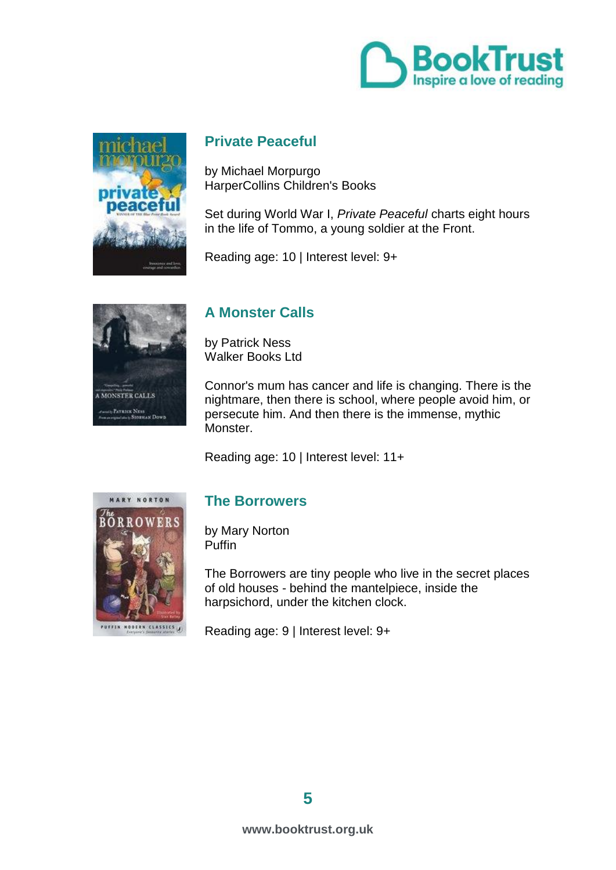



### **[Private Peaceful](http://www.booktrust.org.uk/books/view/24585)**

by Michael Morpurgo HarperCollins Children's Books

Set during World War I, *Private Peaceful* charts eight hours in the life of Tommo, a young soldier at the Front.

Reading age: 10 | Interest level: 9+



# **[A Monster Calls](http://www.booktrust.org.uk/books/view/31309)**

by Patrick Ness Walker Books Ltd

Connor's mum has cancer and life is changing. There is the nightmare, then there is school, where people avoid him, or persecute him. And then there is the immense, mythic Monster.

Reading age: 10 | Interest level: 11+



### **[The Borrowers](http://www.booktrust.org.uk/books/view/31818)**

by Mary Norton Puffin

The Borrowers are tiny people who live in the secret places of old houses - behind the mantelpiece, inside the harpsichord, under the kitchen clock.

Reading age: 9 | Interest level: 9+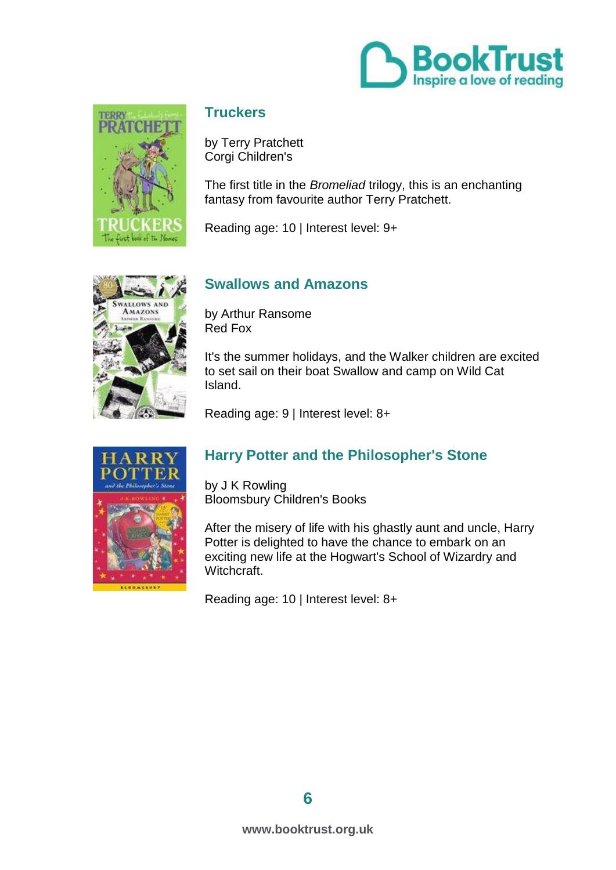



### **[Truckers](http://www.booktrust.org.uk/books/view/33344)**

by Terry Pratchett Corgi Children's

The first title in the *Bromeliad* trilogy, this is an enchanting fantasy from favourite author Terry Pratchett.

Reading age: 10 | Interest level: 9+



# **[Swallows and Amazons](http://www.booktrust.org.uk/books/view/33299)**

by Arthur Ransome Red Fox

It's the summer holidays, and the Walker children are excited to set sail on their boat Swallow and camp on Wild Cat Island.

Reading age: 9 | Interest level: 8+



# **[Harry Potter and the Philosopher's Stone](http://www.booktrust.org.uk/books/view/30267)**

by J K Rowling Bloomsbury Children's Books

After the misery of life with his ghastly aunt and uncle, Harry Potter is delighted to have the chance to embark on an exciting new life at the Hogwart's School of Wizardry and Witchcraft.

Reading age: 10 | Interest level: 8+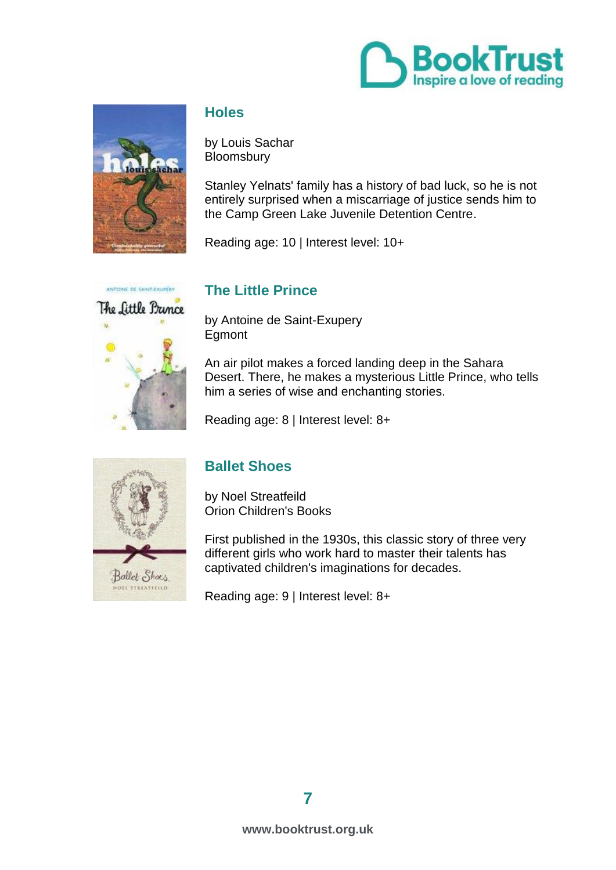



### **[Holes](http://www.booktrust.org.uk/books/view/33345)**

by Louis Sachar **Bloomsbury** 

Stanley Yelnats' family has a history of bad luck, so he is not entirely surprised when a miscarriage of justice sends him to the Camp Green Lake Juvenile Detention Centre.

Reading age: 10 | Interest level: 10+



### **[The Little Prince](http://www.booktrust.org.uk/books/view/33303)**

by Antoine de Saint-Exupery Egmont

An air pilot makes a forced landing deep in the Sahara Desert. There, he makes a mysterious Little Prince, who tells him a series of wise and enchanting stories.

Reading age: 8 | Interest level: 8+



### **[Ballet Shoes](http://www.booktrust.org.uk/books/view/33301)**

by Noel Streatfeild Orion Children's Books

First published in the 1930s, this classic story of three very different girls who work hard to master their talents has captivated children's imaginations for decades.

Reading age: 9 | Interest level: 8+